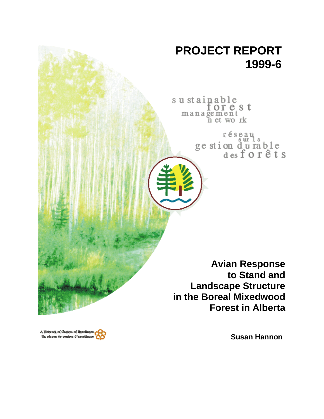

sustainable orest management<br>n et work

réseau<br>ge stion d'u rable<br>des forêts

**Avian Response to Stand and Landscape Structure in the Boreal Mixedwood Forest in Alberta**

A Network of Contres of Rucellance<br>Un réseau de contres d'excellence

**Susan Hannon**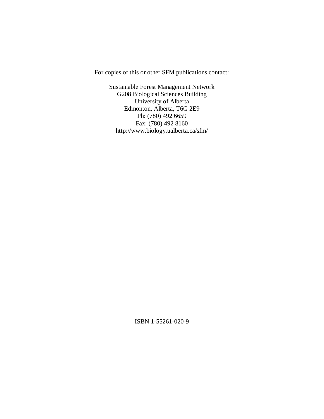For copies of this or other SFM publications contact:

Sustainable Forest Management Network G208 Biological Sciences Building University of Alberta Edmonton, Alberta, T6G 2E9 Ph: (780) 492 6659 Fax: (780) 492 8160 http://www.biology.ualberta.ca/sfm/

ISBN 1-55261-020-9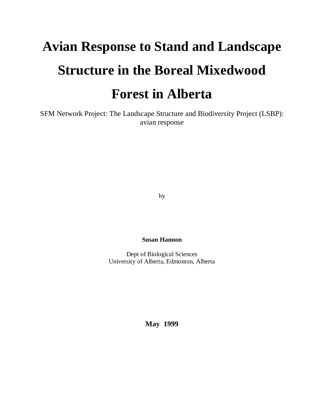# **Avian Response to Stand and Landscape Structure in the Boreal Mixedwood Forest in Alberta**

SFM Network Project: The Landscape Structure and Biodiversity Project (LSBP): avian response

by

**Susan Hannon**

Dept of Biological Sciences University of Alberta, Edmonton, Alberta

**May 1999**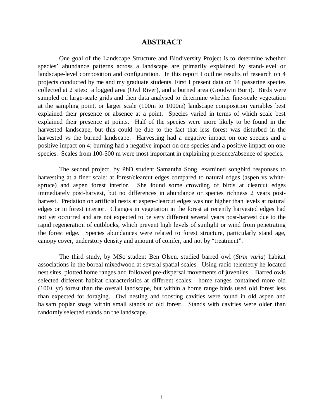## **ABSTRACT**

One goal of the Landscape Structure and Biodiversity Project is to determine whether species' abundance patterns across a landscape are primarily explained by stand-level or landscape-level composition and configuration. In this report I outline results of research on 4 projects conducted by me and my graduate students. First I present data on 14 passerine species collected at 2 sites: a logged area (Owl River), and a burned area (Goodwin Burn). Birds were sampled on large-scale grids and then data analysed to determine whether fine-scale vegetation at the sampling point, or larger scale (100m to 1000m) landscape composition variables best explained their presence or absence at a point. Species varied in terms of which scale best explained their presence at points. Half of the species were more likely to be found in the harvested landscape, but this could be due to the fact that less forest was disturbed in the harvested vs the burned landscape. Harvesting had a negative impact on one species and a positive impact on 4; burning had a negative impact on one species and a positive impact on one species. Scales from 100-500 m were most important in explaining presence/absence of species.

The second project, by PhD student Samantha Song, examined songbird responses to harvesting at a finer scale: at forest/clearcut edges compared to natural edges (aspen vs whitespruce) and aspen forest interior. She found some crowding of birds at clearcut edges immediately post-harvest, but no differences in abundance or species richness 2 years postharvest. Predation on artificial nests at aspen-clearcut edges was not higher than levels at natural edges or in forest interior. Changes in vegetation in the forest at recently harvested edges had not yet occurred and are not expected to be very different several years post-harvest due to the rapid regeneration of cutblocks, which prevent high levels of sunlight or wind from penetrating the forest edge. Species abundances were related to forest structure, particularly stand age, canopy cover, understory density and amount of conifer, and not by "treatment".

The third study, by MSc student Ben Olsen, studied barred owl (*Strix varia*) habitat associations in the boreal mixedwood at several spatial scales. Using radio telemetry he located nest sites, plotted home ranges and followed pre-dispersal movements of juveniles. Barred owls selected different habitat characteristics at different scales: home ranges contained more old  $(100+$  yr) forest than the overall landscape, but within a home range birds used old forest less than expected for foraging. Owl nesting and roosting cavities were found in old aspen and balsam poplar snags within small stands of old forest. Stands with cavities were older than randomly selected stands on the landscape.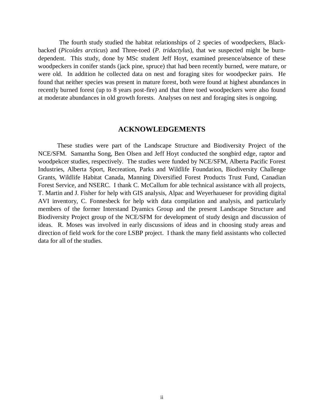The fourth study studied the habitat relationships of 2 species of woodpeckers, Blackbacked (*Picoides arcticus*) and Three-toed (*P. tridactylus*), that we suspected might be burndependent. This study, done by MSc student Jeff Hoyt, examined presence/absence of these woodpeckers in conifer stands (jack pine, spruce) that had been recently burned, were mature, or were old. In addition he collected data on nest and foraging sites for woodpecker pairs. He found that neither species was present in mature forest, both were found at highest abundances in recently burned forest (up to 8 years post-fire) and that three toed woodpeckers were also found at moderate abundances in old growth forests. Analyses on nest and foraging sites is ongoing.

#### **ACKNOWLEDGEMENTS**

These studies were part of the Landscape Structure and Biodiversity Project of the NCE/SFM. Samantha Song, Ben Olsen and Jeff Hoyt conducted the songbird edge, raptor and woodpekcer studies, respectively. The studies were funded by NCE/SFM, Alberta Pacific Forest Industries, Alberta Sport, Recreation, Parks and Wildlife Foundation, Biodiversity Challenge Grants, Wildlife Habitat Canada, Manning Diversified Forest Products Trust Fund, Canadian Forest Service, and NSERC. I thank C. McCallum for able technical assistance with all projects, T. Martin and J. Fisher for help with GIS analysis, Alpac and Weyerhaueser for providing digital AVI inventory, C. Fonnesbeck for help with data compilation and analysis, and particularly members of the former Interstand Dyamics Group and the present Landscape Structure and Biodiversity Project group of the NCE/SFM for development of study design and discussion of ideas. R. Moses was involved in early discussions of ideas and in choosing study areas and direction of field work for the core LSBP project. I thank the many field assistants who collected data for all of the studies.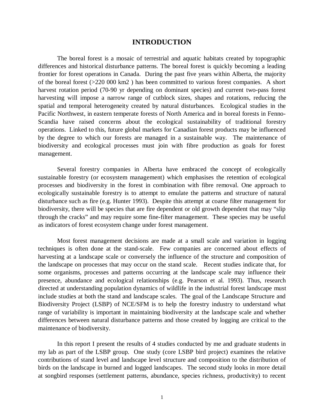## **INTRODUCTION**

The boreal forest is a mosaic of terrestrial and aquatic habitats created by topographic differences and historical disturbance patterns. The boreal forest is quickly becoming a leading frontier for forest operations in Canada. During the past five years within Alberta, the majority of the boreal forest (>220 000 km2 ) has been committed to various forest companies. A short harvest rotation period (70-90 yr depending on dominant species) and current two-pass forest harvesting will impose a narrow range of cutblock sizes, shapes and rotations, reducing the spatial and temporal heterogeneity created by natural disturbances. Ecological studies in the Pacific Northwest, in eastern temperate forests of North America and in boreal forests in Fenno-Scandia have raised concerns about the ecological sustainability of traditional forestry operations. Linked to this, future global markets for Canadian forest products may be influenced by the degree to which our forests are managed in a sustainable way. The maintenance of biodiversity and ecological processes must join with fibre production as goals for forest management.

Several forestry companies in Alberta have embraced the concept of ecologically sustainable forestry (or ecosystem management) which emphasises the retention of ecological processes and biodiversity in the forest in combination with fibre removal. One approach to ecologically sustainable forestry is to attempt to emulate the patterns and structure of natural disturbance such as fire (e.g. Hunter 1993). Despite this attempt at coarse filter management for biodiversity, there will be species that are fire dependent or old growth dependent that may "slip" through the cracks" and may require some fine-filter management. These species may be useful as indicators of forest ecosystem change under forest management.

Most forest management decisions are made at a small scale and variation in logging techniques is often done at the stand-scale. Few companies are concerned about effects of harvesting at a landscape scale or conversely the influence of the structure and composition of the landscape on processes that may occur on the stand scale. Recent studies indicate that, for some organisms, processes and patterns occurring at the landscape scale may influence their presence, abundance and ecological relationships (e.g. Pearson et al. 1993). Thus, research directed at understanding population dynamics of wildlife in the industrial forest landscape must include studies at both the stand and landscape scales. The goal of the Landscape Structure and Biodiversity Project (LSBP) of NCE/SFM is to help the forestry industry to understand what range of variability is important in maintaining biodiversity at the landscape scale and whether differences between natural disturbance patterns and those created by logging are critical to the maintenance of biodiversity.

In this report I present the results of 4 studies conducted by me and graduate students in my lab as part of the LSBP group. One study (core LSBP bird project) examines the relative contributions of stand level and landscape level structure and composition to the distribution of birds on the landscape in burned and logged landscapes. The second study looks in more detail at songbird responses (settlement patterns, abundance, species richness, productivity) to recent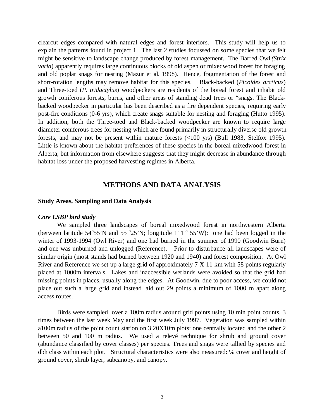clearcut edges compared with natural edges and forest interiors. This study will help us to explain the patterns found in project 1. The last 2 studies focussed on some species that we felt might be sensitive to landscape change produced by forest management. The Barred Owl *(Strix varia*) apparently requires large continuous blocks of old aspen or mixedwood forest for foraging and old poplar snags for nesting (Mazur et al. 1998). Hence, fragmentation of the forest and short-rotation lengths may remove habitat for this species. Black-backed (*Picoides arcticus*) and Three-toed (*P. tridactylus*) woodpeckers are residents of the boreal forest and inhabit old growth coniferous forests, burns, and other areas of standing dead trees or "snags. The Blackbacked woodpecker in particular has been described as a fire dependent species, requiring early post-fire conditions (0-6 yrs), which create snags suitable for nesting and foraging (Hutto 1995). In addition, both the Three-toed and Black-backed woodpecker are known to require large diameter coniferous trees for nesting which are found primarily in structurally diverse old growth forests, and may not be present within mature forests (<100 yrs) (Bull 1983, Stelfox 1995). Little is known about the habitat preferences of these species in the boreal mixedwood forest in Alberta, but information from elsewhere suggests that they might decrease in abundance through habitat loss under the proposed harvesting regimes in Alberta.

## **METHODS AND DATA ANALYSIS**

#### **Study Areas, Sampling and Data Analysis**

#### *Core LSBP bird study*

We sampled three landscapes of boreal mixedwood forest in northwestern Alberta (between latitude  $54^{\circ}55^{\prime}$ N and  $55^{\circ}25^{\prime}$ N; longitude  $111^{\circ}55^{\prime}$ W): one had been logged in the winter of 1993-1994 (Owl River) and one had burned in the summer of 1990 (Goodwin Burn) and one was unburned and unlogged (Reference). Prior to disturbance all landscapes were of similar origin (most stands had burned between 1920 and 1940) and forest composition. At Owl River and Reference we set up a large grid of approximately 7 X 11 km with 58 points regularly placed at 1000m intervals. Lakes and inaccessible wetlands were avoided so that the grid had missing points in places, usually along the edges. At Goodwin, due to poor access, we could not place out such a large grid and instead laid out 29 points a minimum of 1000 m apart along access routes.

Birds were sampled over a 100m radius around grid points using 10 min point counts, 3 times between the last week May and the first week July 1997. Vegetation was sampled within a100m radius of the point count station on 3 20X10m plots: one centrally located and the other 2 between 50 and 100 m radius. We used a relevé technique for shrub and ground cover (abundance classified by cover classes) per species. Trees and snags were tallied by species and dbh class within each plot. Structural characteristics were also measured: % cover and height of ground cover, shrub layer, subcanopy, and canopy.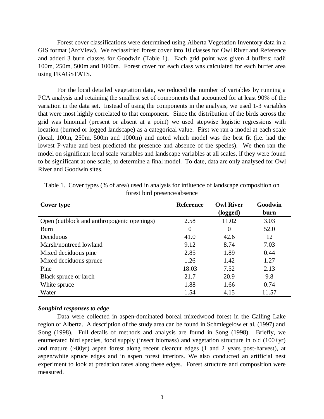Forest cover classifications were determined using Alberta Vegetation Inventory data in a GIS format (ArcView). We reclassified forest cover into 10 classes for Owl River and Reference and added 3 burn classes for Goodwin (Table 1). Each grid point was given 4 buffers: radii 100m, 250m, 500m and 1000m. Forest cover for each class was calculated for each buffer area using FRAGSTATS.

For the local detailed vegetation data, we reduced the number of variables by running a PCA analysis and retaining the smallest set of components that accounted for at least 90% of the variation in the data set. Instead of using the components in the analysis, we used 1-3 variables that were most highly correlated to that component. Since the distribution of the birds across the grid was binomial (present or absent at a point) we used stepwise logistic regressions with location (burned or logged landscape) as a categorical value. First we ran a model at each scale (local, 100m, 250m, 500m and 1000m) and noted which model was the best fit (i.e. had the lowest P-value and best predicted the presence and absence of the species). We then ran the model on significant local scale variables and landscape variables at all scales, if they were found to be significant at one scale, to determine a final model. To date, data are only analysed for Owl River and Goodwin sites.

| Cover type                                 | <b>Reference</b> | <b>Owl River</b><br>(logged) | Goodwin<br>burn |
|--------------------------------------------|------------------|------------------------------|-----------------|
| Open (cutblock and anthropogenic openings) | 2.58             | 11.02                        | 3.03            |
| <b>Burn</b>                                | $\overline{0}$   | $\overline{0}$               | 52.0            |
| Deciduous                                  | 41.0             | 42.6                         | 12              |
| Marsh/nontreed lowland                     | 9.12             | 8.74                         | 7.03            |
| Mixed deciduous pine.                      | 2.85             | 1.89                         | 0.44            |
| Mixed deciduous spruce                     | 1.26             | 1.42                         | 1.27            |
| Pine                                       | 18.03            | 7.52                         | 2.13            |
| Black spruce or larch                      | 21.7             | 20.9                         | 9.8             |
| White spruce                               | 1.88             | 1.66                         | 0.74            |
| Water                                      | 1.54             | 4.15                         | 11.57           |

Table 1. Cover types (% of area) used in analysis for influence of landscape composition on forest bird presence/absence

#### *Songbird responses to edge*

Data were collected in aspen-dominated boreal mixedwood forest in the Calling Lake region of Alberta. A description of the study area can be found in Schmiegelow et al. (1997) and Song (1998). Full details of methods and analysis are found in Song (1998). Briefly, we enumerated bird species, food supply (insect biomass) and vegetation structure in old (100+yr) and mature (~80yr) aspen forest along recent clearcut edges (1 and 2 years post-harvest), at aspen/white spruce edges and in aspen forest interiors. We also conducted an artificial nest experiment to look at predation rates along these edges. Forest structure and composition were measured.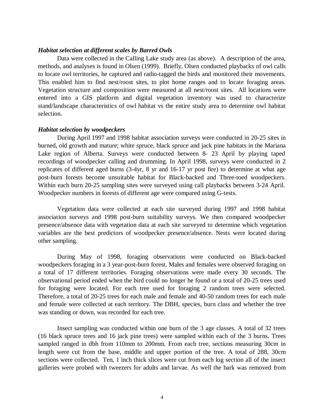#### *Habitat selection at different scales by Barred Owls*

Data were collected in the Calling Lake study area (as above). A description of the area, methods, and analyses is found in Olsen (1999). Briefly, Olsen conducted playbacks of owl calls to locate owl territories, he captured and radio-tagged the birds and monitored their movements. This enabled him to find nest/roost sites, to plot home ranges and to locate foraging areas. Vegetation structure and composition were measured at all nest/roost sites. All locations were entered into a GIS platform and digital vegetation inventory was used to characterize stand/landscape characteristics of owl habitat vs the entire study area to determine owl habitat selection.

#### *Habitat selection by woodpeckers*

 During April 1997 and 1998 habitat association surveys were conducted in 20-25 sites in burned, old growth and mature; white spruce, black spruce and jack pine habitats in the Mariana Lake region of Alberta. Surveys were conducted between 8- 23 April by playing taped recordings of woodpecker calling and drumming. In April 1998, surveys were conducted in 2 replicates of different aged burns (3-4yr, 8 yr and 16-17 yr post fire) to determine at what age post-burn forests become unsuitable habitat for Black-backed and Three-toed woodpeckers. Within each burn 20-25 sampling sites were surveyed using call playbacks between 3-24 April. Woodpecker numbers in forests of different age were compared using G-tests.

Vegetation data were collected at each site surveyed during 1997 and 1998 habitat association surveys and 1998 post-burn suitability surveys. We then compared woodpecker presence/absence data with vegetation data at each site surveyed to determine which vegetation variables are the best predictors of woodpecker presence/absence. Nests were located during other sampling.

During May of 1998, foraging observations were conducted on Black-backed woodpeckers foraging in a 3 year-post-burn forest. Males and females were observed foraging on a total of 17 different territories. Foraging observations were made every 30 seconds. The observational period ended when the bird could no longer be found or a total of 20-25 trees used for foraging were located. For each tree used for foraging 2 random trees were selected. Therefore, a total of 20-25 trees for each male and female and 40-50 random trees for each male and female were collected at each territory. The DBH, species, burn class and whether the tree was standing or down, was recorded for each tree.

Insect sampling was conducted within one burn of the 3 age classes. A total of 32 trees (16 black spruce trees and 16 jack pine trees) were sampled within each of the 3 burns. Trees sampled ranged in dbh from 110mm to 200mm. From each tree, sections measuring 30cm in length were cut from the base, middle and upper portion of the tree. A total of 288, 30cm sections were collected. Ten, 1 inch thick slices were cut from each log section all of the insect galleries were probed with tweezers for adults and larvae. As well the bark was removed from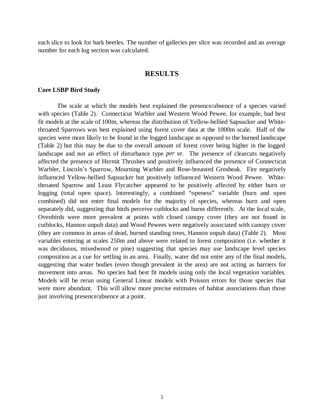each slice to look for bark beetles. The number of galleries per slice was recorded and an average number for each log section was calculated.

## **RESULTS**

#### **Core LSBP Bird Study**

The scale at which the models best explained the presence/absence of a species varied with species (Table 2). Connecticut Warbler and Western Wood Pewee, for example, had best fit models at the scale of 100m, whereas the distribution of Yellow-bellied Sapsucker and Whitethroated Sparrows was best explained using forest cover data at the 1000m scale. Half of the species were more likely to be found in the logged landscape as opposed to the burned landscape (Table 2) but this may be due to the overall amount of forest cover being higher in the logged landscape and not an effect of disturbance type *per se*. The presence of clearcuts negatively affected the presence of Hermit Thrushes and positively influenced the presence of Connecticut Warbler, Lincoln's Sparrow, Mourning Warbler and Rose-breasted Grosbeak. Fire negatively influenced Yellow-bellied Sapsucker but positively influenced Western Wood Pewee. Whitethroated Sparrow and Least Flycatcher appeared to be positively affected by either burn or logging (total open space). Interestingly, a combined "openess" variable (burn and open combined) did not enter final models for the majority of species, whereas burn and open separately did, suggesting that birds perceive cutblocks and burns differently. At the local scale, Ovenbirds were more prevalent at points with closed canopy cover (they are not found in cutblocks, Hannon unpub data) and Wood Pewees were negatively associated with canopy cover (they are common in areas of dead, burned standing trees, Hannon unpub data) (Table 2). Most variables entering at scales 250m and above were related to forest composition (i.e. whether it was deciduous, mixedwood or pine) suggesting that species may use landscape level species composition as a cue for settling in an area. Finally, water did not enter any of the final models, suggesting that water bodies (even though prevalent in the area) are not acting as barriers for movement into areas. No species had best fit models using only the local vegetation variables. Models will be rerun using General Linear models with Poisson errors for those species that were more abundant. This will allow more precise estimates of habitat associations than those just involving presence/absence at a point.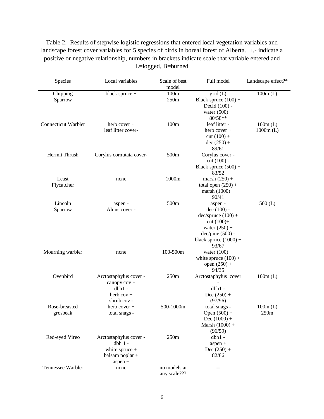Table 2. Results of stepwise logistic regressions that entered local vegetation variables and landscape forest cover variables for 5 species of birds in boreal forest of Alberta. +,- indicate a positive or negative relationship, numbers in brackets indicate scale that variable entered and L=logged, B=burned

| model<br>100m<br>grid(L)<br>black spruce +<br>$100m$ (L)<br>Chipping<br>250m<br>Black spruce $(100) +$<br>Sparrow<br>Decid (100) -<br>water $(500) +$<br>80/58**<br>Connecticut Warbler<br>100m<br>leaf litter -<br>herb cover $+$<br>$100m$ (L)<br>leaf litter cover-<br>herb cover $+$<br>$1000m$ (L)<br>$cut (100) +$<br>$dec (250) +$<br>89/61<br>Hermit Thrush<br>500m<br>Corylus cover -<br>Corylus cornutata cover-<br>$cut (100) -$<br>Black spruce $(500) +$<br>83/52<br>1000m<br>Least<br>marsh $(250) +$<br>none<br>Flycatcher<br>total open $(250) +$<br>marsh $(1000) +$<br>90/41<br>500m<br>Lincoln<br>$500$ (L)<br>aspen -<br>aspen -<br>Sparrow<br>Alnus cover -<br>$dec(100) -$<br>$dec/spruce (100) +$<br>cut $(100) +$<br>water $(250) +$<br>$dec/pine(500)$ -<br>black spruce $(1000) +$<br>93/67<br>100-500m<br>Mourning warbler<br>water $(100) +$<br>none<br>white spruce $(100) +$<br>open $(250) +$<br>94/35<br>Ovenbird<br>250m<br>Arctostaphylus cover<br>Arctostaphylus cover -<br>$100m$ (L)<br>canopy cov +<br>$dbh1 -$<br>$dbh1 -$<br>Dec $(250) +$<br>herb $cov +$<br>shrub cov -<br>(97/96)<br>500-1000m<br>Rose-breasted<br>$100m$ (L)<br>herb cover $+$<br>total snags -<br>250m<br>Open $(500) +$<br>grosbeak<br>total snags -<br>Dec $(1000) +$<br>Marsh $(1000) +$<br>(96/59)<br>250m<br>Red-eyed Vireo<br>$dbh1 -$<br>Arctostaphylus cover -<br>$dbh1 -$<br>$aspen +$<br>white spruce $+$<br>Dec $(250) +$<br>82/86<br>balsam poplar +<br>aspen +<br>Tennessee Warbler<br>no models at<br>none<br>any scale??? | Species | Local variables | Scale of best | Full model | Landscape effect?* |
|-------------------------------------------------------------------------------------------------------------------------------------------------------------------------------------------------------------------------------------------------------------------------------------------------------------------------------------------------------------------------------------------------------------------------------------------------------------------------------------------------------------------------------------------------------------------------------------------------------------------------------------------------------------------------------------------------------------------------------------------------------------------------------------------------------------------------------------------------------------------------------------------------------------------------------------------------------------------------------------------------------------------------------------------------------------------------------------------------------------------------------------------------------------------------------------------------------------------------------------------------------------------------------------------------------------------------------------------------------------------------------------------------------------------------------------------------------------------------------------------------------------------------------------------------------|---------|-----------------|---------------|------------|--------------------|
|                                                                                                                                                                                                                                                                                                                                                                                                                                                                                                                                                                                                                                                                                                                                                                                                                                                                                                                                                                                                                                                                                                                                                                                                                                                                                                                                                                                                                                                                                                                                                       |         |                 |               |            |                    |
|                                                                                                                                                                                                                                                                                                                                                                                                                                                                                                                                                                                                                                                                                                                                                                                                                                                                                                                                                                                                                                                                                                                                                                                                                                                                                                                                                                                                                                                                                                                                                       |         |                 |               |            |                    |
|                                                                                                                                                                                                                                                                                                                                                                                                                                                                                                                                                                                                                                                                                                                                                                                                                                                                                                                                                                                                                                                                                                                                                                                                                                                                                                                                                                                                                                                                                                                                                       |         |                 |               |            |                    |
|                                                                                                                                                                                                                                                                                                                                                                                                                                                                                                                                                                                                                                                                                                                                                                                                                                                                                                                                                                                                                                                                                                                                                                                                                                                                                                                                                                                                                                                                                                                                                       |         |                 |               |            |                    |
|                                                                                                                                                                                                                                                                                                                                                                                                                                                                                                                                                                                                                                                                                                                                                                                                                                                                                                                                                                                                                                                                                                                                                                                                                                                                                                                                                                                                                                                                                                                                                       |         |                 |               |            |                    |
|                                                                                                                                                                                                                                                                                                                                                                                                                                                                                                                                                                                                                                                                                                                                                                                                                                                                                                                                                                                                                                                                                                                                                                                                                                                                                                                                                                                                                                                                                                                                                       |         |                 |               |            |                    |
|                                                                                                                                                                                                                                                                                                                                                                                                                                                                                                                                                                                                                                                                                                                                                                                                                                                                                                                                                                                                                                                                                                                                                                                                                                                                                                                                                                                                                                                                                                                                                       |         |                 |               |            |                    |
|                                                                                                                                                                                                                                                                                                                                                                                                                                                                                                                                                                                                                                                                                                                                                                                                                                                                                                                                                                                                                                                                                                                                                                                                                                                                                                                                                                                                                                                                                                                                                       |         |                 |               |            |                    |
|                                                                                                                                                                                                                                                                                                                                                                                                                                                                                                                                                                                                                                                                                                                                                                                                                                                                                                                                                                                                                                                                                                                                                                                                                                                                                                                                                                                                                                                                                                                                                       |         |                 |               |            |                    |
|                                                                                                                                                                                                                                                                                                                                                                                                                                                                                                                                                                                                                                                                                                                                                                                                                                                                                                                                                                                                                                                                                                                                                                                                                                                                                                                                                                                                                                                                                                                                                       |         |                 |               |            |                    |
|                                                                                                                                                                                                                                                                                                                                                                                                                                                                                                                                                                                                                                                                                                                                                                                                                                                                                                                                                                                                                                                                                                                                                                                                                                                                                                                                                                                                                                                                                                                                                       |         |                 |               |            |                    |
|                                                                                                                                                                                                                                                                                                                                                                                                                                                                                                                                                                                                                                                                                                                                                                                                                                                                                                                                                                                                                                                                                                                                                                                                                                                                                                                                                                                                                                                                                                                                                       |         |                 |               |            |                    |
|                                                                                                                                                                                                                                                                                                                                                                                                                                                                                                                                                                                                                                                                                                                                                                                                                                                                                                                                                                                                                                                                                                                                                                                                                                                                                                                                                                                                                                                                                                                                                       |         |                 |               |            |                    |
|                                                                                                                                                                                                                                                                                                                                                                                                                                                                                                                                                                                                                                                                                                                                                                                                                                                                                                                                                                                                                                                                                                                                                                                                                                                                                                                                                                                                                                                                                                                                                       |         |                 |               |            |                    |
|                                                                                                                                                                                                                                                                                                                                                                                                                                                                                                                                                                                                                                                                                                                                                                                                                                                                                                                                                                                                                                                                                                                                                                                                                                                                                                                                                                                                                                                                                                                                                       |         |                 |               |            |                    |
|                                                                                                                                                                                                                                                                                                                                                                                                                                                                                                                                                                                                                                                                                                                                                                                                                                                                                                                                                                                                                                                                                                                                                                                                                                                                                                                                                                                                                                                                                                                                                       |         |                 |               |            |                    |
|                                                                                                                                                                                                                                                                                                                                                                                                                                                                                                                                                                                                                                                                                                                                                                                                                                                                                                                                                                                                                                                                                                                                                                                                                                                                                                                                                                                                                                                                                                                                                       |         |                 |               |            |                    |
|                                                                                                                                                                                                                                                                                                                                                                                                                                                                                                                                                                                                                                                                                                                                                                                                                                                                                                                                                                                                                                                                                                                                                                                                                                                                                                                                                                                                                                                                                                                                                       |         |                 |               |            |                    |
|                                                                                                                                                                                                                                                                                                                                                                                                                                                                                                                                                                                                                                                                                                                                                                                                                                                                                                                                                                                                                                                                                                                                                                                                                                                                                                                                                                                                                                                                                                                                                       |         |                 |               |            |                    |
|                                                                                                                                                                                                                                                                                                                                                                                                                                                                                                                                                                                                                                                                                                                                                                                                                                                                                                                                                                                                                                                                                                                                                                                                                                                                                                                                                                                                                                                                                                                                                       |         |                 |               |            |                    |
|                                                                                                                                                                                                                                                                                                                                                                                                                                                                                                                                                                                                                                                                                                                                                                                                                                                                                                                                                                                                                                                                                                                                                                                                                                                                                                                                                                                                                                                                                                                                                       |         |                 |               |            |                    |
|                                                                                                                                                                                                                                                                                                                                                                                                                                                                                                                                                                                                                                                                                                                                                                                                                                                                                                                                                                                                                                                                                                                                                                                                                                                                                                                                                                                                                                                                                                                                                       |         |                 |               |            |                    |
|                                                                                                                                                                                                                                                                                                                                                                                                                                                                                                                                                                                                                                                                                                                                                                                                                                                                                                                                                                                                                                                                                                                                                                                                                                                                                                                                                                                                                                                                                                                                                       |         |                 |               |            |                    |
|                                                                                                                                                                                                                                                                                                                                                                                                                                                                                                                                                                                                                                                                                                                                                                                                                                                                                                                                                                                                                                                                                                                                                                                                                                                                                                                                                                                                                                                                                                                                                       |         |                 |               |            |                    |
|                                                                                                                                                                                                                                                                                                                                                                                                                                                                                                                                                                                                                                                                                                                                                                                                                                                                                                                                                                                                                                                                                                                                                                                                                                                                                                                                                                                                                                                                                                                                                       |         |                 |               |            |                    |
|                                                                                                                                                                                                                                                                                                                                                                                                                                                                                                                                                                                                                                                                                                                                                                                                                                                                                                                                                                                                                                                                                                                                                                                                                                                                                                                                                                                                                                                                                                                                                       |         |                 |               |            |                    |
|                                                                                                                                                                                                                                                                                                                                                                                                                                                                                                                                                                                                                                                                                                                                                                                                                                                                                                                                                                                                                                                                                                                                                                                                                                                                                                                                                                                                                                                                                                                                                       |         |                 |               |            |                    |
|                                                                                                                                                                                                                                                                                                                                                                                                                                                                                                                                                                                                                                                                                                                                                                                                                                                                                                                                                                                                                                                                                                                                                                                                                                                                                                                                                                                                                                                                                                                                                       |         |                 |               |            |                    |
|                                                                                                                                                                                                                                                                                                                                                                                                                                                                                                                                                                                                                                                                                                                                                                                                                                                                                                                                                                                                                                                                                                                                                                                                                                                                                                                                                                                                                                                                                                                                                       |         |                 |               |            |                    |
|                                                                                                                                                                                                                                                                                                                                                                                                                                                                                                                                                                                                                                                                                                                                                                                                                                                                                                                                                                                                                                                                                                                                                                                                                                                                                                                                                                                                                                                                                                                                                       |         |                 |               |            |                    |
|                                                                                                                                                                                                                                                                                                                                                                                                                                                                                                                                                                                                                                                                                                                                                                                                                                                                                                                                                                                                                                                                                                                                                                                                                                                                                                                                                                                                                                                                                                                                                       |         |                 |               |            |                    |
|                                                                                                                                                                                                                                                                                                                                                                                                                                                                                                                                                                                                                                                                                                                                                                                                                                                                                                                                                                                                                                                                                                                                                                                                                                                                                                                                                                                                                                                                                                                                                       |         |                 |               |            |                    |
|                                                                                                                                                                                                                                                                                                                                                                                                                                                                                                                                                                                                                                                                                                                                                                                                                                                                                                                                                                                                                                                                                                                                                                                                                                                                                                                                                                                                                                                                                                                                                       |         |                 |               |            |                    |
|                                                                                                                                                                                                                                                                                                                                                                                                                                                                                                                                                                                                                                                                                                                                                                                                                                                                                                                                                                                                                                                                                                                                                                                                                                                                                                                                                                                                                                                                                                                                                       |         |                 |               |            |                    |
|                                                                                                                                                                                                                                                                                                                                                                                                                                                                                                                                                                                                                                                                                                                                                                                                                                                                                                                                                                                                                                                                                                                                                                                                                                                                                                                                                                                                                                                                                                                                                       |         |                 |               |            |                    |
|                                                                                                                                                                                                                                                                                                                                                                                                                                                                                                                                                                                                                                                                                                                                                                                                                                                                                                                                                                                                                                                                                                                                                                                                                                                                                                                                                                                                                                                                                                                                                       |         |                 |               |            |                    |
|                                                                                                                                                                                                                                                                                                                                                                                                                                                                                                                                                                                                                                                                                                                                                                                                                                                                                                                                                                                                                                                                                                                                                                                                                                                                                                                                                                                                                                                                                                                                                       |         |                 |               |            |                    |
|                                                                                                                                                                                                                                                                                                                                                                                                                                                                                                                                                                                                                                                                                                                                                                                                                                                                                                                                                                                                                                                                                                                                                                                                                                                                                                                                                                                                                                                                                                                                                       |         |                 |               |            |                    |
|                                                                                                                                                                                                                                                                                                                                                                                                                                                                                                                                                                                                                                                                                                                                                                                                                                                                                                                                                                                                                                                                                                                                                                                                                                                                                                                                                                                                                                                                                                                                                       |         |                 |               |            |                    |
|                                                                                                                                                                                                                                                                                                                                                                                                                                                                                                                                                                                                                                                                                                                                                                                                                                                                                                                                                                                                                                                                                                                                                                                                                                                                                                                                                                                                                                                                                                                                                       |         |                 |               |            |                    |
|                                                                                                                                                                                                                                                                                                                                                                                                                                                                                                                                                                                                                                                                                                                                                                                                                                                                                                                                                                                                                                                                                                                                                                                                                                                                                                                                                                                                                                                                                                                                                       |         |                 |               |            |                    |
|                                                                                                                                                                                                                                                                                                                                                                                                                                                                                                                                                                                                                                                                                                                                                                                                                                                                                                                                                                                                                                                                                                                                                                                                                                                                                                                                                                                                                                                                                                                                                       |         |                 |               |            |                    |
|                                                                                                                                                                                                                                                                                                                                                                                                                                                                                                                                                                                                                                                                                                                                                                                                                                                                                                                                                                                                                                                                                                                                                                                                                                                                                                                                                                                                                                                                                                                                                       |         |                 |               |            |                    |
|                                                                                                                                                                                                                                                                                                                                                                                                                                                                                                                                                                                                                                                                                                                                                                                                                                                                                                                                                                                                                                                                                                                                                                                                                                                                                                                                                                                                                                                                                                                                                       |         |                 |               |            |                    |
|                                                                                                                                                                                                                                                                                                                                                                                                                                                                                                                                                                                                                                                                                                                                                                                                                                                                                                                                                                                                                                                                                                                                                                                                                                                                                                                                                                                                                                                                                                                                                       |         |                 |               |            |                    |
|                                                                                                                                                                                                                                                                                                                                                                                                                                                                                                                                                                                                                                                                                                                                                                                                                                                                                                                                                                                                                                                                                                                                                                                                                                                                                                                                                                                                                                                                                                                                                       |         |                 |               |            |                    |
|                                                                                                                                                                                                                                                                                                                                                                                                                                                                                                                                                                                                                                                                                                                                                                                                                                                                                                                                                                                                                                                                                                                                                                                                                                                                                                                                                                                                                                                                                                                                                       |         |                 |               |            |                    |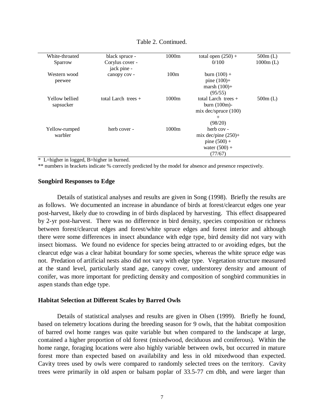| White-throated | black spruce -        | 1000m | total open $(250) +$     | $500m$ (L)  |
|----------------|-----------------------|-------|--------------------------|-------------|
| Sparrow        | Corylus cover -       |       | 0/100                    | $1000m$ (L) |
|                | jack pine -           |       |                          |             |
| Western wood   | canopy cov -          | 100m  | burn $(100) +$           |             |
| peewee         |                       |       | pine $(100) +$           |             |
|                |                       |       | marsh $(100)$ +          |             |
|                |                       |       | (95/55)                  |             |
| Yellow bellied | total Larch trees $+$ | 1000m | total Larch trees $+$    | $500m$ (L)  |
| sapsucker      |                       |       | burn $(100m)$ -          |             |
|                |                       |       | $mix$ dec/spruce $(100)$ |             |
|                |                       |       | $^{+}$                   |             |
|                |                       |       | (98/20)                  |             |
| Yellow-rumped  | herb cover -          | 1000m | herb cov -               |             |
| warbler        |                       |       | mix dec/pine $(250)$ +   |             |
|                |                       |       | pine $(500) +$           |             |
|                |                       |       | water $(500) +$          |             |
|                |                       |       | (77/67)                  |             |
|                |                       |       |                          |             |

#### Table 2. Continued.

\* L=higher in logged, B=higher in burned.

\*\* numbers in brackets indicate % correctly predicted by the model for absence and presence respectively.

#### **Songbird Responses to Edge**

Details of statistical analyses and results are given in Song (1998). Briefly the results are as follows. We documented an increase in abundance of birds at forest/clearcut edges one year post-harvest, likely due to crowding in of birds displaced by harvesting. This effect disappeared by 2-yr post-harvest. There was no difference in bird density, species composition or richness between forest/clearcut edges and forest/white spruce edges and forest interior and although there were some differences in insect abundance with edge type, bird density did not vary with insect biomass. We found no evidence for species being attracted to or avoiding edges, but the clearcut edge was a clear habitat boundary for some species, whereas the white spruce edge was not. Predation of artificial nests also did not vary with edge type. Vegetation structure measured at the stand level, particularly stand age, canopy cover, understorey density and amount of conifer, was more important for predicting density and composition of songbird communities in aspen stands than edge type.

#### **Habitat Selection at Different Scales by Barred Owls**

Details of statistical analyses and results are given in Olsen (1999). Briefly he found, based on telemetry locations during the breeding season for 9 owls, that the habitat composition of barred owl home ranges was quite variable but when compared to the landscape at large, contained a higher proportion of old forest (mixedwood, deciduous and coniferous). Within the home range, foraging locations were also highly variable between owls, but occurred in mature forest more than expected based on availability and less in old mixedwood than expected. Cavity trees used by owls were compared to randomly selected trees on the territory. Cavity trees were primarily in old aspen or balsam poplar of 33.5-77 cm dbh, and were larger than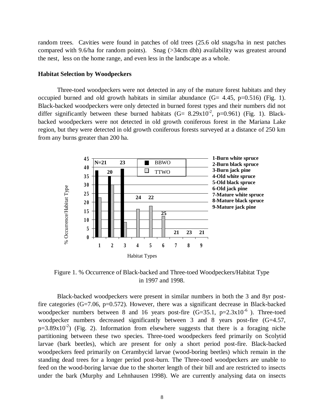random trees. Cavities were found in patches of old trees (25.6 old snags/ha in nest patches compared with 9.6/ha for random points). Snag (>34cm dbh) availability was greatest around the nest, less on the home range, and even less in the landscape as a whole.

#### **Habitat Selection by Woodpeckers**

Three-toed woodpeckers were not detected in any of the mature forest habitats and they occupied burned and old growth habitats in similar abundance  $(G= 4.45, p=0.516)$  (Fig. 1). Black-backed woodpeckers were only detected in burned forest types and their numbers did not differ significantly between these burned habitats  $(G= 8.29 \times 10^{-2}$ , p=0.961) (Fig. 1). Blackbacked woodpeckers were not detected in old growth coniferous forest in the Mariana Lake region, but they were detected in old growth coniferous forests surveyed at a distance of 250 km from any burns greater than 200 ha.



Figure 1. % Occurrence of Black-backed and Three-toed Woodpeckers/Habitat Type in 1997 and 1998.

Black-backed woodpeckers were present in similar numbers in both the 3 and 8yr postfire categories  $(G=7.06, p=0.572)$ . However, there was a significant decrease in Black-backed woodpecker numbers between 8 and 16 years post-fire  $(G=35.1, p=2.3x10^{-6})$ . Three-toed woodpecker numbers decreased significantly between 3 and 8 years post-fire (G=4.57,  $p=3.89x10^{-2}$ ) (Fig. 2). Information from elsewhere suggests that there is a foraging niche partitioning between these two species. Three-toed woodpeckers feed primarily on Scolytid larvae (bark beetles), which are present for only a short period post-fire. Black-backed woodpeckers feed primarily on Cerambycid larvae (wood-boring beetles) which remain in the standing dead trees for a longer period post-burn. The Three-toed woodpeckers are unable to feed on the wood-boring larvae due to the shorter length of their bill and are restricted to insects Examele the bark (Murphy and Lehnhausen 1998). We are currently analysing deal the bark (Murphy and Lehnhausen 1998). We are currently analysing deal the bark (Murphy and Lehnhausen 1998). We are currently analysing deal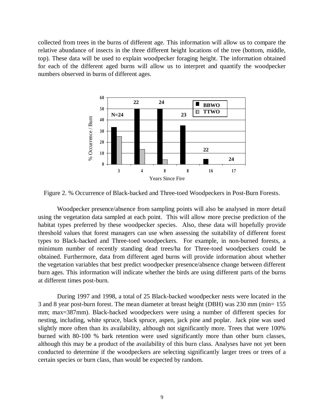collected from trees in the burns of different age. This information will allow us to compare the relative abundance of insects in the three different height locations of the tree (bottom, middle, top). These data will be used to explain woodpecker foraging height. The information obtained for each of the different aged burns will allow us to interpret and quantify the woodpecker numbers observed in burns of different ages.



Figure 2. % Occurrence of Black-backed and Three-toed Woodpeckers in Post-Burn Forests.

Woodpecker presence/absence from sampling points will also be analysed in more detail using the vegetation data sampled at each point. This will allow more precise prediction of the habitat types preferred by these woodpecker species. Also, these data will hopefully provide threshold values that forest managers can use when assessing the suitability of different forest types to Black-backed and Three-toed woodpeckers. For example, in non-burned forests, a minimum number of recently standing dead trees/ha for Three-toed woodpeckers could be obtained. Furthermore, data from different aged burns will provide information about whether the vegetation variables that best predict woodpecker presence/absence change between different burn ages. This information will indicate whether the birds are using different parts of the burns at different times post-burn.

During 1997 and 1998, a total of 25 Black-backed woodpecker nests were located in the 3 and 8 year post-burn forest. The mean diameter at breast height (DBH) was 230 mm (min= 155 mm; max=387mm). Black-backed woodpeckers were using a number of different species for nesting, including, white spruce, black spruce, aspen, jack pine and poplar. Jack pine was used slightly more often than its availability, although not significantly more. Trees that were 100% burned with 80-100 % bark retention were used significantly more than other burn classes, although this may be a product of the availability of this burn class. Analyses have not yet been conducted to determine if the woodpeckers are selecting significantly larger trees or trees of a certain species or burn class, than would be expected by random.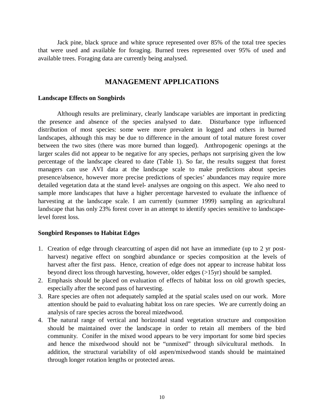Jack pine, black spruce and white spruce represented over 85% of the total tree species that were used and available for foraging. Burned trees represented over 95% of used and available trees. Foraging data are currently being analysed.

## **MANAGEMENT APPLICATIONS**

#### **Landscape Effects on Songbirds**

Although results are preliminary, clearly landscape variables are important in predicting the presence and absence of the species analysed to date. Disturbance type influenced distribution of most species: some were more prevalent in logged and others in burned landscapes, although this may be due to difference in the amount of total mature forest cover between the two sites (there was more burned than logged). Anthropogenic openings at the larger scales did not appear to be negative for any species, perhaps not surprising given the low percentage of the landscape cleared to date (Table 1). So far, the results suggest that forest managers can use AVI data at the landscape scale to make predictions about species presence/absence, however more precise predictions of species' abundances may require more detailed vegetation data at the stand level- analyses are ongoing on this aspect. We also need to sample more landscapes that have a higher percentage harvested to evaluate the influence of harvesting at the landscape scale. I am currently (summer 1999) sampling an agricultural landscape that has only 23% forest cover in an attempt to identify species sensitive to landscapelevel forest loss.

#### **Songbird Responses to Habitat Edges**

- 1. Creation of edge through clearcutting of aspen did not have an immediate (up to 2 yr postharvest) negative effect on songbird abundance or species composition at the levels of harvest after the first pass. Hence, creation of edge does not appear to increase habitat loss beyond direct loss through harvesting, however, older edges (>15yr) should be sampled.
- 2. Emphasis should be placed on evaluation of effects of habitat loss on old growth species, especially after the second pass of harvesting.
- 3. Rare species are often not adequately sampled at the spatial scales used on our work. More attention should be paid to evaluating habitat loss on rare species. We are currently doing an analysis of rare species across the boreal mizedwood.
- 4. The natural range of vertical and horizontal stand vegetation structure and composition should be maintained over the landscape in order to retain all members of the bird community. Conifer in the mixed wood appears to be very important for some bird species and hence the mixedwood should not be "unmixed" through silvicultural methods. In addition, the structural variability of old aspen/mixedwood stands should be maintained through longer rotation lengths or protected areas.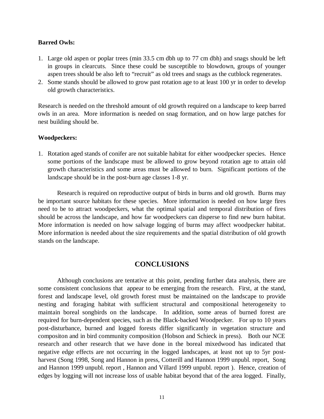### **Barred Owls:**

- 1. Large old aspen or poplar trees (min 33.5 cm dbh up to 77 cm dbh) and snags should be left in groups in clearcuts. Since these could be susceptible to blowdown, groups of younger aspen trees should be also left to "recruit" as old trees and snags as the cutblock regenerates.
- 2. Some stands should be allowed to grow past rotation age to at least 100 yr in order to develop old growth characteristics.

Research is needed on the threshold amount of old growth required on a landscape to keep barred owls in an area. More information is needed on snag formation, and on how large patches for nest building should be.

### **Woodpeckers:**

1. Rotation aged stands of conifer are not suitable habitat for either woodpecker species. Hence some portions of the landscape must be allowed to grow beyond rotation age to attain old growth characteristics and some areas must be allowed to burn. Significant portions of the landscape should be in the post-burn age classes 1-8 yr.

Research is required on reproductive output of birds in burns and old growth. Burns may be important source habitats for these species. More information is needed on how large fires need to be to attract woodpeckers, what the optimal spatial and temporal distribution of fires should be across the landscape, and how far woodpeckers can disperse to find new burn habitat. More information is needed on how salvage logging of burns may affect woodpecker habitat. More information is needed about the size requirements and the spatial distribution of old growth stands on the landscape.

## **CONCLUSIONS**

Although conclusions are tentative at this point, pending further data analysis, there are some consistent conclusions that appear to be emerging from the research. First, at the stand, forest and landscape level, old growth forest must be maintained on the landscape to provide nesting and foraging habitat with sufficient structural and compositional heterogeneity to maintain boreal songbirds on the landscape. In addition, some areas of burned forest are required for burn-dependent species, such as the Black-backed Woodpecker. For up to 10 years post-disturbance, burned and logged forests differ significantly in vegetation structure and compositon and in bird community composition (Hobson and Schieck in press). Both our NCE research and other research that we have done in the boreal mixedwood has indicated that negative edge effects are not occurring in the logged landscapes, at least not up to 5yr postharvest (Song 1998, Song and Hannon in press, Cotterill and Hannon 1999 unpubl. report, Song and Hannon 1999 unpubl. report , Hannon and Villard 1999 unpubl. report ). Hence, creation of edges by logging will not increase loss of usable habitat beyond that of the area logged. Finally,